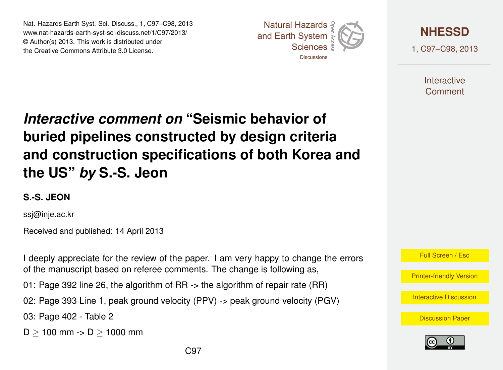Nat. Hazards Earth Syst. Sci. Discuss., 1, C97–C98, 2013 www.nat-hazards-earth-syst-sci-discuss.net/1/C97/2013/<br>@ Author(a) 2012, This work is distributed under © Author(s) 2013. This work is distributed under the Creative Commons Attribute 3.0 License. sciences<br>Sciences open<br>Die Stellen<br>Die Stellen





1, C97–C98, 2013

**Interactive** Comment

## aant an ment on buried pipelines constructed by design criteria  $\epsilon$  $\sim$ ior of *Interactive comment on* **"Seismic behavior of** a<br>a Biogeosciences **the US"** *by* **S.-S. Jeon**  $\mathbf c$  $\overline{a}$ **and construction specifications of both Korea and**

## **S.-S. JEON**

ssj@inje.ac.kr

Received and published: 14 April 2013

Earth System I deeply appreciate for the review of the paper. I am very happy to change the errors ວ<br>າ<br>ໂ ו<br>ס of the manuscript based on referee comments. The change is following as,

01: Page 392 line 26, the algorithm of RR -> the algorithm of repair rate (RR)

02: Page 393 Line 1, peak ground velocity (PPV) -> peak ground velocity (PGV)  $\mathsf{y}$ Methods and  $\sqrt{2}$ 

03: Page 402 - Table 2

 $D > 100$  mm ->  $D > 1000$  mm



[Printer-friendly Version](http://www.nat-hazards-earth-syst-sci-discuss.net/1/C97/2013/nhessd-1-C97-2013-print.pdf)

[Interactive Discussion](http://www.nat-hazards-earth-syst-sci-discuss.net/1/389/2013/nhessd-1-389-2013-discussion.html)

**[Discussion Paper](http://www.nat-hazards-earth-syst-sci-discuss.net/1/389/2013/nhessd-1-389-2013.pdf)**